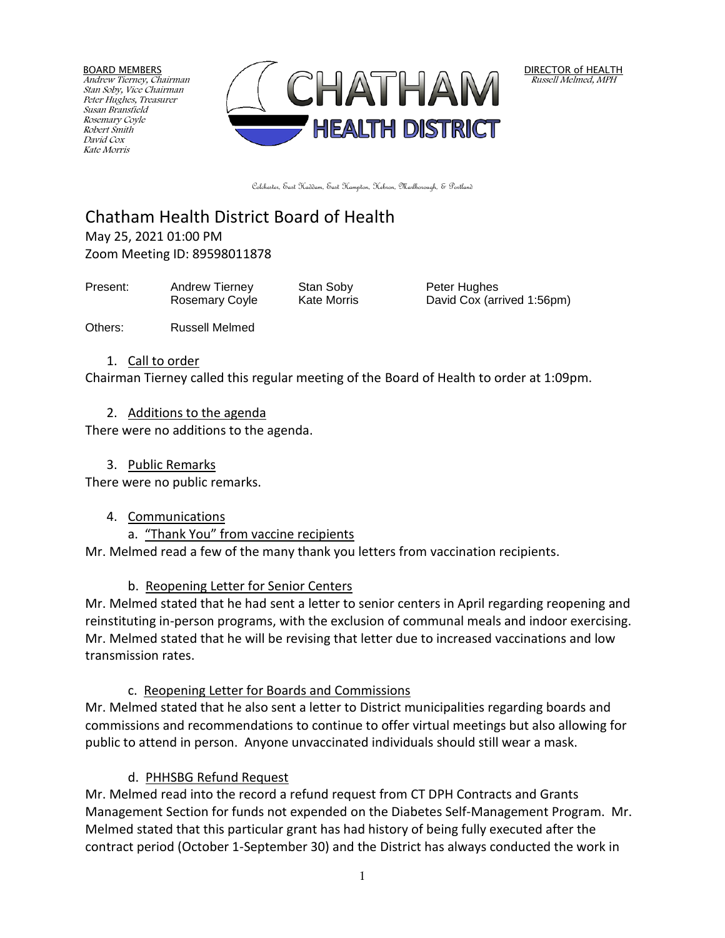BOARD MEMBERS Andrew Tierney, Chairman Stan Soby, Vice Chairman Peter Hughes, Treasurer Susan Bransfield Rosemary Coyle Robert Smith David Cox Kate Morris



DIRECTOR of HEALTH Russell Melmed, MPH

Colchester, East Haddam, East Hampton, Hebron, Marlborough, & Portland

# Chatham Health District Board of Health May 25, 2021 01:00 PM

Zoom Meeting ID: 89598011878

Present: Andrew Tierney Stan Soby Peter Hughes

Rosemary Coyle Kate Morris **David Cox (arrived 1:56pm)** 

Others: Russell Melmed

#### 1. Call to order

Chairman Tierney called this regular meeting of the Board of Health to order at 1:09pm.

#### 2. Additions to the agenda

There were no additions to the agenda.

3. Public Remarks

There were no public remarks.

# 4. Communications

a. "Thank You" from vaccine recipients

Mr. Melmed read a few of the many thank you letters from vaccination recipients.

# b. Reopening Letter for Senior Centers

Mr. Melmed stated that he had sent a letter to senior centers in April regarding reopening and reinstituting in-person programs, with the exclusion of communal meals and indoor exercising. Mr. Melmed stated that he will be revising that letter due to increased vaccinations and low transmission rates.

# c. Reopening Letter for Boards and Commissions

Mr. Melmed stated that he also sent a letter to District municipalities regarding boards and commissions and recommendations to continue to offer virtual meetings but also allowing for public to attend in person. Anyone unvaccinated individuals should still wear a mask.

# d. PHHSBG Refund Request

Mr. Melmed read into the record a refund request from CT DPH Contracts and Grants Management Section for funds not expended on the Diabetes Self-Management Program. Mr. Melmed stated that this particular grant has had history of being fully executed after the contract period (October 1-September 30) and the District has always conducted the work in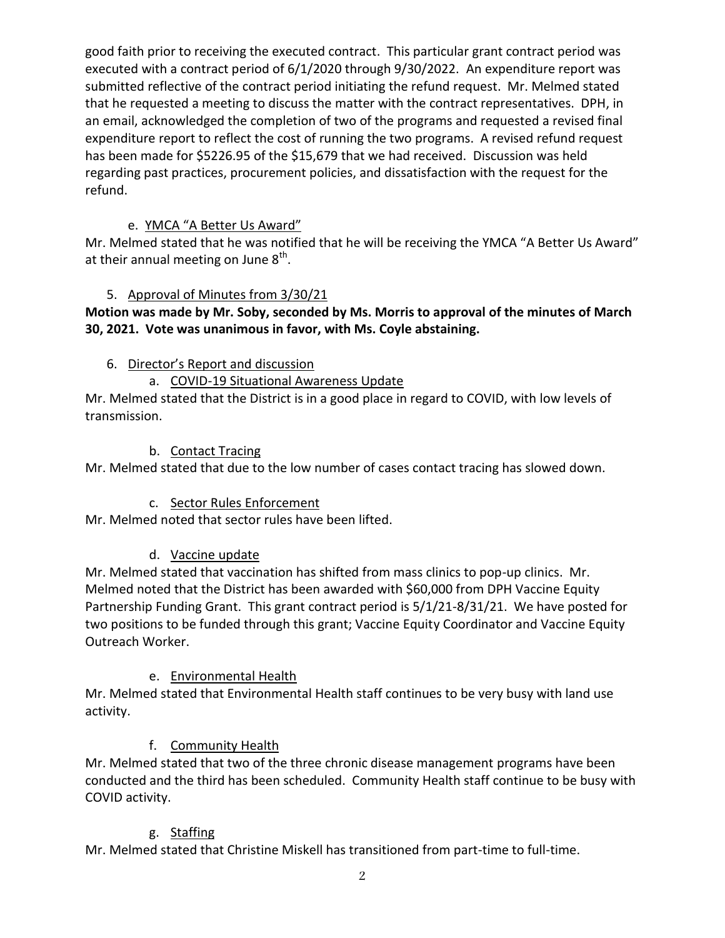good faith prior to receiving the executed contract. This particular grant contract period was executed with a contract period of 6/1/2020 through 9/30/2022. An expenditure report was submitted reflective of the contract period initiating the refund request. Mr. Melmed stated that he requested a meeting to discuss the matter with the contract representatives. DPH, in an email, acknowledged the completion of two of the programs and requested a revised final expenditure report to reflect the cost of running the two programs. A revised refund request has been made for \$5226.95 of the \$15,679 that we had received. Discussion was held regarding past practices, procurement policies, and dissatisfaction with the request for the refund.

# e. YMCA "A Better Us Award"

Mr. Melmed stated that he was notified that he will be receiving the YMCA "A Better Us Award" at their annual meeting on June  $8^{\text{th}}$ .

# 5. Approval of Minutes from 3/30/21

# **Motion was made by Mr. Soby, seconded by Ms. Morris to approval of the minutes of March 30, 2021. Vote was unanimous in favor, with Ms. Coyle abstaining.**

# 6. Director's Report and discussion

a. COVID-19 Situational Awareness Update

Mr. Melmed stated that the District is in a good place in regard to COVID, with low levels of transmission.

# b. Contact Tracing

Mr. Melmed stated that due to the low number of cases contact tracing has slowed down.

# c. Sector Rules Enforcement

Mr. Melmed noted that sector rules have been lifted.

# d. Vaccine update

Mr. Melmed stated that vaccination has shifted from mass clinics to pop-up clinics. Mr. Melmed noted that the District has been awarded with \$60,000 from DPH Vaccine Equity Partnership Funding Grant. This grant contract period is 5/1/21-8/31/21. We have posted for two positions to be funded through this grant; Vaccine Equity Coordinator and Vaccine Equity Outreach Worker.

# e. Environmental Health

Mr. Melmed stated that Environmental Health staff continues to be very busy with land use activity.

# f. Community Health

Mr. Melmed stated that two of the three chronic disease management programs have been conducted and the third has been scheduled. Community Health staff continue to be busy with COVID activity.

# g. Staffing

Mr. Melmed stated that Christine Miskell has transitioned from part-time to full-time.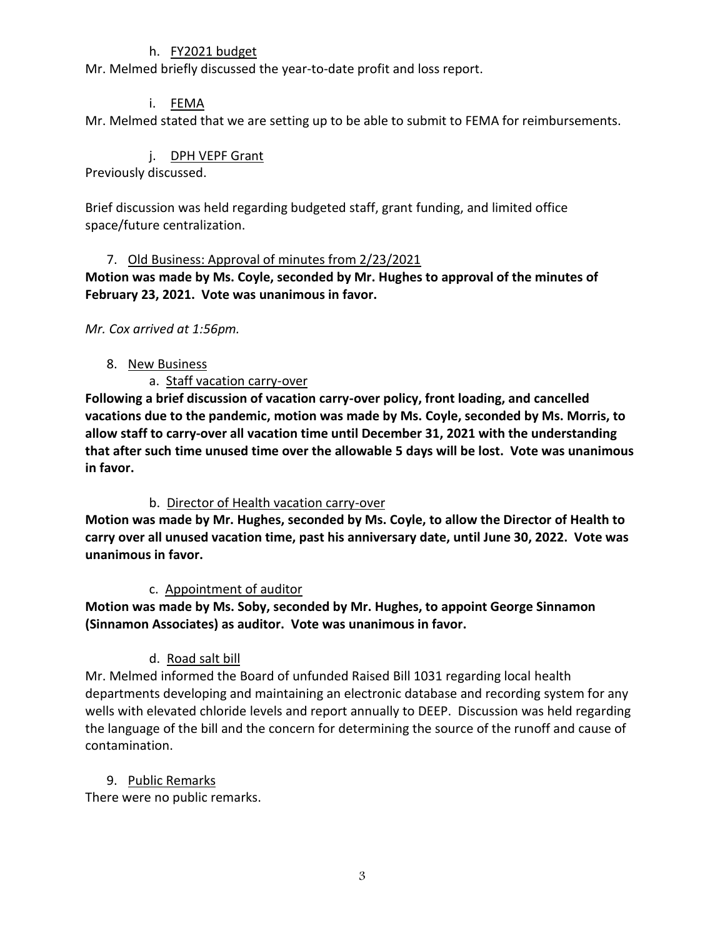#### h. FY2021 budget

Mr. Melmed briefly discussed the year-to-date profit and loss report.

#### i. FEMA

Mr. Melmed stated that we are setting up to be able to submit to FEMA for reimbursements.

#### j. DPH VEPF Grant

Previously discussed.

Brief discussion was held regarding budgeted staff, grant funding, and limited office space/future centralization.

#### 7. Old Business: Approval of minutes from 2/23/2021

**Motion was made by Ms. Coyle, seconded by Mr. Hughes to approval of the minutes of February 23, 2021. Vote was unanimous in favor.**

#### *Mr. Cox arrived at 1:56pm.*

#### 8. New Business

#### a. Staff vacation carry-over

**Following a brief discussion of vacation carry-over policy, front loading, and cancelled vacations due to the pandemic, motion was made by Ms. Coyle, seconded by Ms. Morris, to allow staff to carry-over all vacation time until December 31, 2021 with the understanding that after such time unused time over the allowable 5 days will be lost. Vote was unanimous in favor.**

#### b. Director of Health vacation carry-over

**Motion was made by Mr. Hughes, seconded by Ms. Coyle, to allow the Director of Health to carry over all unused vacation time, past his anniversary date, until June 30, 2022. Vote was unanimous in favor.**

#### c. Appointment of auditor

**Motion was made by Ms. Soby, seconded by Mr. Hughes, to appoint George Sinnamon (Sinnamon Associates) as auditor. Vote was unanimous in favor.**

# d. Road salt bill

Mr. Melmed informed the Board of unfunded Raised Bill 1031 regarding local health departments developing and maintaining an electronic database and recording system for any wells with elevated chloride levels and report annually to DEEP. Discussion was held regarding the language of the bill and the concern for determining the source of the runoff and cause of contamination.

# 9. Public Remarks

There were no public remarks.